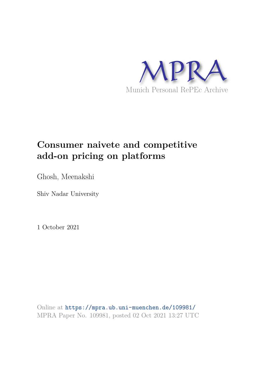

## **Consumer naivete and competitive add-on pricing on platforms**

Ghosh, Meenakshi

Shiv Nadar University

1 October 2021

Online at https://mpra.ub.uni-muenchen.de/109981/ MPRA Paper No. 109981, posted 02 Oct 2021 13:27 UTC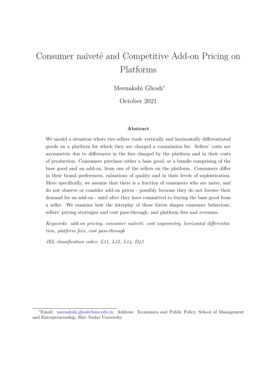# Consumer naïveté and Competitive Add-on Pricing on Platforms

Meenakshi Ghosh<sup>∗</sup>

October 2021

#### **Abstract**

We model a situation where two sellers trade vertically and horizontally differentiated goods on a platform for which they are charged a commission fee. Sellers' costs are asymmetric due to differences in the fees charged by the platform and in their costs of production. Consumers purchase either a base good, or a bundle comprising of the base good and an add-on, from one of the sellers on the platform. Consumers differ in their brand preferences, valuations of quality and in their levels of sophistication. More specifically, we assume that there is a fraction of consumers who are naive, and do not observe or consider add-on prices - possibly because they do not foresee their demand for an add-on - until after they have committed to buying the base good from a seller. We examine how the interplay of these forces shapes consumer behaviour, sellers' pricing strategies and cost pass-through, and platform fees and revenues.

Keywords: add-on pricing, consumer naïveté, cost asymmetry, horizontal differentia*tion, platform fees, cost pass-through*

*JEL classification codes: L11, L15, L14, D43*

<sup>∗</sup>Email: meenakshi.ghosh@snu.edu.in; Address: Economics and Public Policy, School of Management and Entrepreneurship, Shiv Nadar University.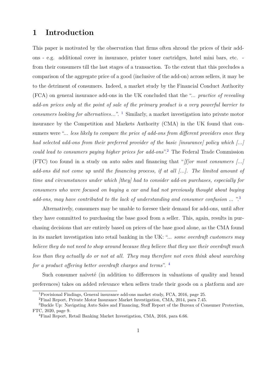## **1 Introduction**

This paper is motivated by the observation that firms often shroud the prices of their addons - e.g. additional cover in insurance, printer toner cartridges, hotel mini bars, etc. from their consumers till the last stages of a transaction. To the extent that this precludes a comparison of the aggregate price of a good (inclusive of the add-on) across sellers, it may be to the detriment of consumers. Indeed, a market study by the Financial Conduct Authority (FCA) on general insurance add-ons in the UK concluded that the "... *practice of revealing add-on prices only at the point of sale of the primary product is a very powerful barrier to consumers looking for alternatives..."*. <sup>1</sup> Similarly, a market investigation into private motor insurance by the Competition and Markets Authority (CMA) in the UK found that consumers were "... *less likely to compare the price of add-ons from different providers once they had selected add-ons from their preferred provider of the basic [insurance] policy which [...] could lead to consumers paying higher prices for add-ons*".<sup>2</sup> The Federal Trade Commission (FTC) too found in a study on auto sales and financing that "*[f]or most consumers [...] add-ons did not come up until the financing process, if at all [...]. The limited amount of time and circumstances under which [they] had to consider add-on purchases, especially for consumers who were focused on buying a car and had not previously thought about buying add-ons, may have contributed to the lack of understanding and consumer confusion* ... ".<sup>3</sup>

Alternatively, consumers may be unable to foresee their demand for add-ons, until after they have committed to purchasing the base good from a seller. This, again, results in purchasing decisions that are entirely based on prices of the base good alone, as the CMA found in its market investigation into retail banking in the UK: "... *some overdraft customers may believe they do not need to shop around because they believe that they use their overdraft much less than they actually do or not at all. They may therefore not even think about searching for a product offering better overdraft charges and terms*". <sup>4</sup>

Such consumer naïveté (in addition to differences in valuations of quality and brand preferences) takes on added relevance when sellers trade their goods on a platform and are

<sup>1</sup>Provisional Findings, General insurance add-ons market study, FCA, 2016, page 25.

<sup>2</sup>Final Report, Private Motor Insurance Market Investigation, CMA, 2014, para 7.45.

<sup>&</sup>lt;sup>3</sup>Buckle Up: Navigating Auto Sales and Financing, Staff Report of the Bureau of Consumer Protection, FTC, 2020, page 9.

<sup>4</sup>Final Report, Retail Banking Market Investigation, CMA, 2016, para 6.66.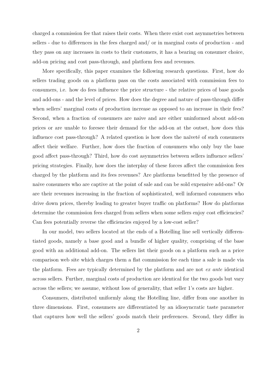charged a commission fee that raises their costs. When there exist cost asymmetries between sellers - due to differences in the fees charged and/ or in marginal costs of production - and they pass on any increases in costs to their customers, it has a bearing on consumer choice, add-on pricing and cost pass-through, and platform fees and revenues.

More specifically, this paper examines the following research questions. First, how do sellers trading goods on a platform pass on the costs associated with commission fees to consumers, i.e. how do fees influence the price structure - the relative prices of base goods and add-ons - and the level of prices. How does the degree and nature of pass-through differ when sellers' marginal costs of production increase as opposed to an increase in their fees? Second, when a fraction of consumers are naive and are either uninformed about add-on prices or are unable to foresee their demand for the add-on at the outset, how does this influence cost pass-through? A related question is how does the naïveté of such consumers affect their welfare. Further, how does the fraction of consumers who only buy the base good affect pass-through? Third, how do cost asymmetries between sellers influence sellers' pricing strategies. Finally, how does the interplay of these forces affect the commission fees charged by the platform and its fees revenues? Are platforms benefitted by the presence of naive consumers who are captive at the point of sale and can be sold expensive add-ons? Or are their revenues increasing in the fraction of sophisticated, well informed consumers who drive down prices, thereby leading to greater buyer traffic on platforms? How do platforms determine the commission fees charged from sellers when some sellers enjoy cost efficiencies? Can fees potentially reverse the efficiencies enjoyed by a low-cost seller?

In our model, two sellers located at the ends of a Hotelling line sell vertically differentiated goods, namely a base good and a bundle of higher quality, comprising of the base good with an additional add-on. The sellers list their goods on a platform such as a price comparison web site which charges them a flat commission fee each time a sale is made via the platform. Fees are typically determined by the platform and are not *ex ante* identical across sellers. Further, marginal costs of production are identical for the two goods but vary across the sellers; we assume, without loss of generality, that seller 1's costs are higher.

Consumers, distributed uniformly along the Hotelling line, differ from one another in three dimensions. First, consumers are differentiated by an idiosyncratic taste parameter that captures how well the sellers' goods match their preferences. Second, they differ in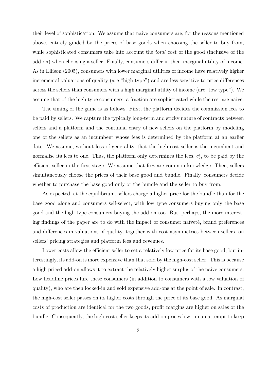their level of sophistication. We assume that naive consumers are, for the reasons mentioned above, entirely guided by the prices of base goods when choosing the seller to buy from, while sophisticated consumers take into account the *total* cost of the good (inclusive of the add-on) when choosing a seller. Finally, consumers differ in their marginal utility of income. As in Ellison (2005), consumers with lower marginal utilities of income have relatively higher incremental valuations of quality (are "high type") and are less sensitive to price differences across the sellers than consumers with a high marginal utility of income (are "low type"). We assume that of the high type consumers, a fraction are sophisticated while the rest are naive.

The timing of the game is as follows. First, the platform decides the commission fees to be paid by sellers. We capture the typically long-term and sticky nature of contracts between sellers and a platform and the continual entry of new sellers on the platform by modeling one of the sellers as an incumbent whose fees is determined by the platform at an earlier date. We assume, without loss of generality, that the high-cost seller is the incumbent and normalise its fees to one. Thus, the platform only determines the fees,  $c_2^*$  $x_2^*$ , to be paid by the efficient seller in the first stage. We assume that fees are common knowledge. Then, sellers simultaneously choose the prices of their base good and bundle. Finally, consumers decide whether to purchase the base good only or the bundle and the seller to buy from.

As expected, at the equilibrium, sellers charge a higher price for the bundle than for the base good alone and consumers self-select, with low type consumers buying only the base good and the high type consumers buying the add-on too. But, perhaps, the more interesting findings of the paper are to do with the impact of consumer naïveté, brand preferences and differences in valuations of quality, together with cost asymmetries between sellers, on sellers' pricing strategies and platform fees and revenues.

Lower costs allow the efficient seller to set a relatively low price for its base good, but interestingly, its add-on is more expensive than that sold by the high-cost seller. This is because a high priced add-on allows it to extract the relatively higher surplus of the naive consumers. Low headline prices lure these consumers (in addition to consumers with a low valuation of quality), who are then locked-in and sold expensive add-ons at the point of sale. In contrast, the high-cost seller passes on its higher costs through the price of its base good. As marginal costs of production are identical for the two goods, profit margins are higher on sales of the bundle. Consequently, the high-cost seller keeps its add-on prices low - in an attempt to keep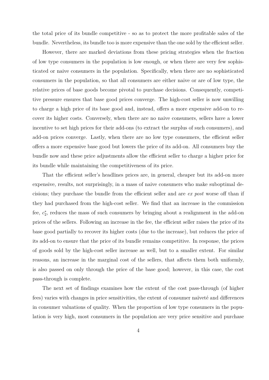the total price of its bundle competitive - so as to protect the more profitable sales of the bundle. Nevertheless, its bundle too is more expensive than the one sold by the efficient seller.

However, there are marked deviations from these pricing strategies when the fraction of low type consumers in the population is low enough, or when there are very few sophisticated or naive consumers in the population. Specifically, when there are no sophisticated consumers in the population, so that all consumers are either naive or are of low type, the relative prices of base goods become pivotal to purchase decisions. Consequently, competitive pressure ensures that base good prices converge. The high-cost seller is now unwilling to charge a high price of its base good and, instead, offers a more expensive add-on to recover its higher costs. Conversely, when there are no naive consumers, sellers have a lower incentive to set high prices for their add-ons (to extract the surplus of such consumers), and add-on prices converge. Lastly, when there are no low type consumers, the efficient seller offers a more expensive base good but lowers the price of its add-on. All consumers buy the bundle now and these price adjustments allow the efficient seller to charge a higher price for its bundle while maintaining the competitiveness of its price.

That the efficient seller's headlines prices are, in general, cheaper but its add-on more expensive, results, not surprisingly, in a mass of naive consumers who make suboptimal decisions; they purchase the bundle from the efficient seller and are *ex post* worse off than if they had purchased from the high-cost seller. We find that an increase in the commission fee,  $c_2^*$ 2 , reduces the mass of such consumers by bringing about a realignment in the add-on prices of the sellers. Following an increase in the fee, the efficient seller raises the price of its base good partially to recover its higher costs (due to the increase), but reduces the price of its add-on to ensure that the price of its bundle remains competitive. In response, the prices of goods sold by the high-cost seller increase as well, but to a smaller extent. For similar reasons, an increase in the marginal cost of the sellers, that affects them both uniformly, is also passed on only through the price of the base good; however, in this case, the cost pass-through is complete.

The next set of findings examines how the extent of the cost pass-through (of higher fees) varies with changes in price sensitivities, the extent of consumer naïveté and differences in consumer valuations of quality. When the proportion of low type consumers in the population is very high, most consumers in the population are very price sensitive and purchase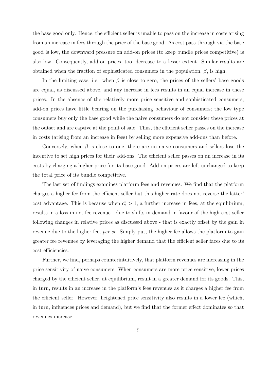the base good only. Hence, the efficient seller is unable to pass on the increase in costs arising from an increase in fees through the price of the base good. As cost pass-through via the base good is low, the downward pressure on add-on prices (to keep bundle prices competitive) is also low. Consequently, add-on prices, too, decrease to a lesser extent. Similar results are obtained when the fraction of sophisticated consumers in the population,  $\beta$ , is high.

In the limiting case, i.e. when  $\beta$  is close to zero, the prices of the sellers' base goods are equal, as discussed above, and any increase in fees results in an equal increase in these prices. In the absence of the relatively more price sensitive and sophisticated consumers, add-on prices have little bearing on the purchasing behaviour of consumers; the low type consumers buy only the base good while the naive consumers do not consider these prices at the outset and are captive at the point of sale. Thus, the efficient seller passes on the increase in costs (arising from an increase in fees) by selling more expensive add-ons than before.

Conversely, when  $\beta$  is close to one, there are no naive consumers and sellers lose the incentive to set high prices for their add-ons. The efficient seller passes on an increase in its costs by charging a higher price for its base good. Add-on prices are left unchanged to keep the total price of its bundle competitive.

The last set of findings examines platform fees and revenues. We find that the platform charges a higher fee from the efficient seller but this higher rate does not reverse the latter' cost advantage. This is because when  $c_2^* > 1$ , a further increase in fees, at the equilibrium, results in a loss in net fee revenue - due to shifts in demand in favour of the high-cost seller following changes in relative prices as discussed above - that is exactly offset by the gain in revenue due to the higher fee, *per se*. Simply put, the higher fee allows the platform to gain greater fee revenues by leveraging the higher demand that the efficient seller faces due to its cost efficiencies.

Further, we find, perhaps counterintuitively, that platform revenues are increasing in the price sensitivity of naive consumers. When consumers are more price sensitive, lower prices charged by the efficient seller, at equilibrium, result in a greater demand for its goods. This, in turn, results in an increase in the platform's fees revenues as it charges a higher fee from the efficient seller. However, heightened price sensitivity also results in a lower fee (which, in turn, influences prices and demand), but we find that the former effect dominates so that revenues increase.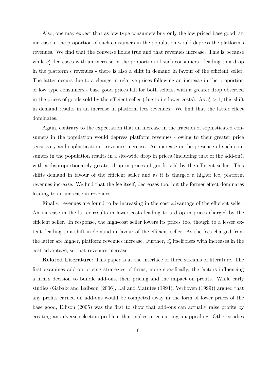Also, one may expect that as low type consumers buy only the low priced base good, an increase in the proportion of such consumers in the population would depress the platform's revenues. We find that the converse holds true and that revenues increase. This is because while  $c_2^*$  decreases with an increase in the proportion of such consumers - leading to a drop in the platform's revenues - there is also a shift in demand in favour of the efficient seller. The latter occurs due to a change in relative prices following an increase in the proportion of low type consumers - base good prices fall for both sellers, with a greater drop observed in the prices of goods sold by the efficient seller (due to its lower costs). As  $c_2^* > 1$ , this shift in demand results in an increase in platform fees revenues. We find that the latter effect dominates.

Again, contrary to the expectation that an increase in the fraction of sophisticated consumers in the population would depress platform revenues - owing to their greater price sensitivity and sophistication - revenues increase. An increase in the presence of such consumers in the population results in a site-wide drop in prices (including that of the add-on), with a disproportionately greater drop in prices of goods sold by the efficient seller. This shifts demand in favour of the efficient seller and as it is charged a higher fee, platform revenues increase. We find that the fee itself, decreases too, but the former effect dominates leading to an increase in revenues.

Finally, revenues are found to be increasing in the cost advantage of the efficient seller. An increase in the latter results in lower costs leading to a drop in prices charged by the efficient seller. In response, the high-cost seller lowers its prices too, though to a lesser extent, leading to a shift in demand in favour of the efficient seller. As the fees charged from the latter are higher, platform revenues increase. Further,  $c_2^*$  $x_2^*$  itself rises with increases in the cost advantage, so that revenues increase.

**Related Literature**: This paper is at the interface of three streams of literature. The first examines add-on pricing strategies of firms; more specifically, the factors influencing a firm's decision to bundle add-ons, their pricing and the impact on profits. While early studies (Gabaix and Laibson (2006), Lal and Matutes (1994), Verboven (1999)) argued that any profits earned on add-ons would be competed away in the form of lower prices of the base good, Ellison (2005) was the first to show that add-ons can actually raise profits by creating an adverse selection problem that makes price-cutting unappealing. Other studies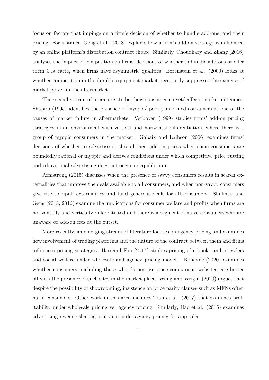focus on factors that impinge on a firm's decision of whether to bundle add-ons, and their pricing. For instance, Geng et al. (2018) explores how a firm's add-on strategy is influenced by an online platform's distribution contract choice. Similarly, Choudhary and Zhang (2016) analyses the impact of competition on firms' decisions of whether to bundle add-ons or offer them à la carte, when firms have asymmetric qualities. Borenstein et al. (2000) looks at whether competition in the durable-equipment market necessarily suppresses the exercise of market power in the aftermarket.

The second stream of literature studies how consumer naïveté affects market outcomes. Shapiro (1995) identifies the presence of myopic/ poorly informed consumers as one of the causes of market failure in aftermarkets. Verboven (1999) studies firms' add-on pricing strategies in an environment with vertical and horizontal differentiation, where there is a group of myopic consumers in the market. Gabaix and Laibson (2006) examines firms' decisions of whether to advertise or shroud their add-on prices when some consumers are boundedly rational or myopic and derives conditions under which competitive price cutting and educational advertising does not occur in equilibrium.

Armstrong (2015) discusses when the presence of savvy consumers results in search externalities that improve the deals available to all consumers, and when non-savvy consumers give rise to ripoff externalities and fund generous deals for all consumers. Shulman and Geng (2013, 2016) examine the implications for consumer welfare and profits when firms are horizontally and vertically differentiated and there is a segment of naive consumers who are unaware of add-on fees at the outset.

More recently, an emerging stream of literature focuses on agency pricing and examines how involvement of trading platforms and the nature of the contract between them and firms influences pricing strategies. Hao and Fan (2014) studies pricing of e-books and e-readers and social welfare under wholesale and agency pricing models. Ronayne (2020) examines whether consumers, including those who do not use price comparison websites, are better off with the presence of such sites in the market place. Wang and Wright (2020) argues that despite the possibility of showrooming, insistence on price parity clauses such as MFNs often harm consumers. Other work in this area includes Tian et al. (2017) that examines profitability under wholesale pricing vs. agency pricing. Similarly, Hao et al. (2016) examines advertising revenue-sharing contracts under agency pricing for app sales.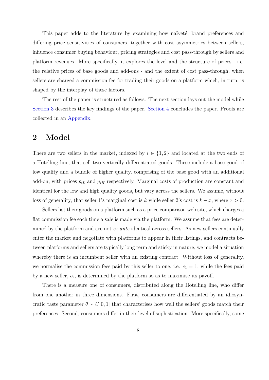This paper adds to the literature by examining how naïvete, brand preferences and differing price sensitivities of consumers, together with cost asymmetries between sellers, influence consumer buying behaviour, pricing strategies and cost pass-through by sellers and platform revenues. More specifically, it explores the level and the structure of prices - i.e. the relative prices of base goods and add-ons - and the extent of cost pass-through, when sellers are charged a commission fee for trading their goods on a platform which, in turn, is shaped by the interplay of these factors.

The rest of the paper is structured as follows. The next section lays out the model while Section 3 describes the key findings of the paper. Section 4 concludes the paper. Proofs are collected in an Appendix.

### **2 Model**

There are two sellers in the market, indexed by  $i \in \{1,2\}$  and located at the two ends of a Hotelling line, that sell two vertically differentiated goods. These include a base good of low quality and a bundle of higher quality, comprising of the base good with an additional add-on, with prices  $p_{iL}$  and  $p_{iH}$  respectively. Marginal costs of production are constant and identical for the low and high quality goods, but vary across the sellers. We assume, without loss of generality, that seller 1's marginal cost is *k* while seller 2's cost is  $k - x$ , where  $x > 0$ .

Sellers list their goods on a platform such as a price comparison web site, which charges a flat commission fee each time a sale is made via the platform. We assume that fees are determined by the platform and are not *ex ante* identical across sellers. As new sellers continually enter the market and negotiate with platforms to appear in their listings, and contracts between platforms and sellers are typically long term and sticky in nature, we model a situation whereby there is an incumbent seller with an existing contract. Without loss of generality, we normalise the commission fees paid by this seller to one, i.e.  $c_1 = 1$ , while the fees paid by a new seller, *c*2, is determined by the platform so as to maximise its payoff.

There is a measure one of consumers, distributed along the Hotelling line, who differ from one another in three dimensions. First, consumers are differentiated by an idiosyncratic taste parameter  $\theta \sim U[0, 1]$  that characterises how well the sellers' goods match their preferences. Second, consumers differ in their level of sophistication. More specifically, some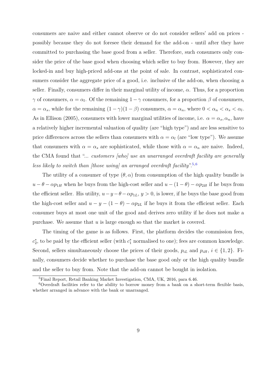consumers are naive and either cannot observe or do not consider sellers' add on prices possibly because they do not foresee their demand for the add-on - until after they have committed to purchasing the base good from a seller. Therefore, such consumers only consider the price of the base good when choosing which seller to buy from. However, they are locked-in and buy high-priced add-ons at the point of sale. In contrast, sophisticated consumers consider the aggregate price of a good, i.e. inclusive of the add-on, when choosing a seller. Finally, consumers differ in their marginal utility of income, *α*. Thus, for a proportion *γ* of consumers,  $\alpha = \alpha_l$ . Of the remaining  $1 - \gamma$  consumers, for a proportion  $\beta$  of consumers,  $\alpha = \alpha_s$ , while for the remaining  $(1 - \gamma)(1 - \beta)$  consumers,  $\alpha = \alpha_n$ , where  $0 < \alpha_n < \alpha_s < \alpha_l$ . As in Ellison (2005), consumers with lower marginal utilities of income, i.e.  $\alpha = \alpha_s, \alpha_n$ , have a relatively higher incremental valuation of quality (are "high type") and are less sensitive to price differences across the sellers than consumers with  $\alpha = \alpha_l$  (are "low type"). We assume that consumers with  $\alpha = \alpha_s$  are sophisticated, while those with  $\alpha = \alpha_n$  are naive. Indeed, the CMA found that "... *customers [who] use an unarranged overdraft facility are generally less likely to switch than [those using] an arranged overdraft facility*".5,6

The utility of a consumer of type  $(\theta, \alpha)$  from consumption of the high quality bundle is  $u - \theta - \alpha p_{1H}$  when he buys from the high-cost seller and  $u - (1 - \theta) - \alpha p_{2H}$  if he buys from the efficient seller. His utility,  $u-y-\theta-\alpha p_{1L}$ ,  $y>0$ , is lower, if he buys the base good from the high-cost seller and  $u - y - (1 - \theta) - \alpha p_{2L}$  if he buys it from the efficient seller. Each consumer buys at most one unit of the good and derives zero utility if he does not make a purchase. We assume that *u* is large enough so that the market is covered.

The timing of the game is as follows. First, the platform decides the commission fees, *c* ∗ <sup>\*</sup><sub>2</sub>, to be paid by the efficient seller (with  $c_1^*$  normalised to one); fees are common knowledge. Second, sellers simultaneously choose the prices of their goods,  $p_{iL}$  and  $p_{iH}$ ,  $i \in \{1,2\}$ . Finally, consumers decide whether to purchase the base good only or the high quality bundle and the seller to buy from. Note that the add-on cannot be bought in isolation.

<sup>5</sup>Final Report, Retail Banking Market Investigation, CMA, UK, 2016, para 6.46.

 $6$ Overdraft facilities refer to the ability to borrow money from a bank on a short-term flexible basis, whether arranged in advance with the bank or unarranged.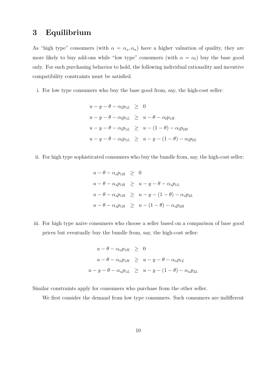## **3 Equilibrium**

As "high type" consumers (with  $\alpha = \alpha_s, \alpha_n$ ) have a higher valuation of quality, they are more likely to buy add-ons while "low type" consumers (with  $\alpha = \alpha_l$ ) buy the base good only. For such purchasing behavior to hold, the following individual rationality and incentive compatibility constraints must be satisfied.

i. For low type consumers who buy the base good from, say, the high-cost seller:

$$
u - y - \theta - \alpha_l p_{1L} \geq 0
$$
  
\n
$$
u - y - \theta - \alpha_l p_{1L} \geq u - \theta - \alpha_l p_{1H}
$$
  
\n
$$
u - y - \theta - \alpha_l p_{1L} \geq u - (1 - \theta) - \alpha_l p_{2H}
$$
  
\n
$$
u - y - \theta - \alpha_l p_{1L} \geq u - y - (1 - \theta) - \alpha_l p_{2L}
$$

ii. For high type sophisticated consumers who buy the bundle from, say, the high-cost seller:

$$
u - \theta - \alpha_s p_{1H} \geq 0
$$
  
\n
$$
u - \theta - \alpha_s p_{1H} \geq u - y - \theta - \alpha_s p_{1L}
$$
  
\n
$$
u - \theta - \alpha_s p_{1H} \geq u - y - (1 - \theta) - \alpha_s p_{2L}
$$
  
\n
$$
u - \theta - \alpha_s p_{1H} \geq u - (1 - \theta) - \alpha_s p_{2H}
$$

iii. For high type naive consumers who choose a seller based on a comparison of base good prices but eventually buy the bundle from, say, the high-cost seller:

$$
u - \theta - \alpha_n p_{1H} \geq 0
$$
  

$$
u - \theta - \alpha_n p_{1H} \geq u - y - \theta - \alpha_n p_{1L}
$$
  

$$
u - y - \theta - \alpha_n p_{1L} \geq u - y - (1 - \theta) - \alpha_n p_{2L}
$$

Similar constraints apply for consumers who purchase from the other seller.

We first consider the demand from low type consumers. Such consumers are indifferent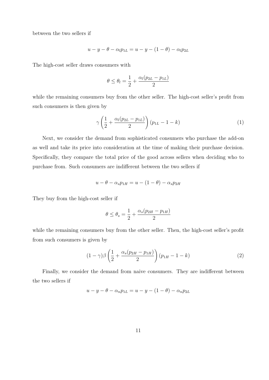between the two sellers if

$$
u - y - \theta - \alpha_l p_{1L} = u - y - (1 - \theta) - \alpha_l p_{2L}
$$

The high-cost seller draws consumers with

$$
\theta \le \theta_l = \frac{1}{2} + \frac{\alpha_l (p_{2L} - p_{1L})}{2}
$$

while the remaining consumers buy from the other seller. The high-cost seller's profit from such consumers is then given by

$$
\gamma \left( \frac{1}{2} + \frac{\alpha_l (p_{2L} - p_{1L})}{2} \right) (p_{1L} - 1 - k) \tag{1}
$$

Next, we consider the demand from sophisticated consumers who purchase the add-on as well and take its price into consideration at the time of making their purchase decision. Specifically, they compare the total price of the good across sellers when deciding who to purchase from. Such consumers are indifferent between the two sellers if

$$
u - \theta - \alpha_s p_{1H} = u - (1 - \theta) - \alpha_s p_{2H}
$$

They buy from the high-cost seller if

$$
\theta \le \theta_s = \frac{1}{2} + \frac{\alpha_s (p_{2H} - p_{1H})}{2}
$$

while the remaining consumers buy from the other seller. Then, the high-cost seller's profit from such consumers is given by

$$
(1 - \gamma)\beta \left(\frac{1}{2} + \frac{\alpha_s(p_{2H} - p_{1H})}{2}\right)(p_{1H} - 1 - k) \tag{2}
$$

Finally, we consider the demand from naive consumers. They are indifferent between the two sellers if

$$
u - y - \theta - \alpha_n p_{1L} = u - y - (1 - \theta) - \alpha_n p_{2L}
$$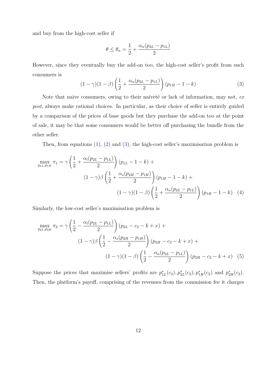and buy from the high-cost seller if

$$
\theta \le \theta_n = \frac{1}{2} + \frac{\alpha_n (p_{2L} - p_{1L})}{2}
$$

However, since they eventually buy the add-on too, the high-cost seller's profit from such consumers is

$$
(1 - \gamma)(1 - \beta)\left(\frac{1}{2} + \frac{\alpha_n(p_{2L} - p_{1L})}{2}\right)(p_{1H} - 1 - k) \tag{3}
$$

Note that naive consumers, owing to their naïveté or lack of information, may not, ex *post*, always make rational choices. In particular, as their choice of seller is entirely guided by a comparison of the prices of base goods but they purchase the add-on too at the point of sale, it may be that some consumers would be better off purchasing the bundle from the other seller.

Then, from equations (1), (2) and (3), the high-cost seller's maximisation problem is

$$
\max_{p_{1L}, p_{1H}} \pi_1 = \gamma \left( \frac{1}{2} + \frac{\alpha_l (p_{2L} - p_{1L})}{2} \right) (p_{1L} - 1 - k) +
$$
  

$$
(1 - \gamma)\beta \left( \frac{1}{2} + \frac{\alpha_s (p_{2H} - p_{1H})}{2} \right) (p_{1H} - 1 - k) +
$$
  

$$
(1 - \gamma)(1 - \beta) \left( \frac{1}{2} + \frac{\alpha_n (p_{2L} - p_{1L})}{2} \right) (p_{1H} - 1 - k) \tag{4}
$$

Similarly, the low-cost seller's maximisation problem is

$$
\max_{p_{2L}, p_{2H}} \pi_2 = \gamma \left( \frac{1}{2} - \frac{\alpha_l (p_{2L} - p_{1L})}{2} \right) (p_{2L} - c_2 - k + x) +
$$

$$
(1 - \gamma) \beta \left( \frac{1}{2} - \frac{\alpha_s (p_{2H} - p_{1H})}{2} \right) (p_{2H} - c_2 - k + x) +
$$

$$
(1 - \gamma) (1 - \beta) \left( \frac{1}{2} - \frac{\alpha_n (p_{2L} - p_{1L})}{2} \right) (p_{2H} - c_2 - k + x) \tag{5}
$$

Suppose the prices that maximise sellers' profits are  $p_1^*$  $j_{1L}^{*}(c_2), p_{2L}^{*}(c_2), p_{1H}^{*}(c_2)$  and  $p_{2H}^{*}(c_2)$ . Then, the platform's payoff, comprising of the revenues from the commission fee it charges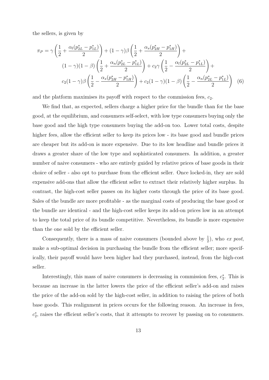the sellers, is given by

$$
\pi_P = \gamma \left( \frac{1}{2} + \frac{\alpha_l (p_{2L}^* - p_{1L}^*)}{2} \right) + (1 - \gamma) \beta \left( \frac{1}{2} + \frac{\alpha_s (p_{2H}^* - p_{1H}^*)}{2} \right) +
$$
  

$$
(1 - \gamma)(1 - \beta) \left( \frac{1}{2} + \frac{\alpha_n (p_{2L}^* - p_{1L}^*)}{2} \right) + c_2 \gamma \left( \frac{1}{2} - \frac{\alpha_l (p_{2L}^* - p_{1L}^*)}{2} \right) +
$$
  

$$
c_2 (1 - \gamma) \beta \left( \frac{1}{2} - \frac{\alpha_s (p_{2H}^* - p_{1H}^*)}{2} \right) + c_2 (1 - \gamma)(1 - \beta) \left( \frac{1}{2} - \frac{\alpha_n (p_{2L}^* - p_{1L}^*)}{2} \right) \tag{6}
$$

and the platform maximises its payoff with respect to the commission fees,  $c_2$ .

We find that, as expected, sellers charge a higher price for the bundle than for the base good, at the equilibrium, and consumers self-select, with low type consumers buying only the base good and the high type consumers buying the add-on too. Lower total costs, despite higher fees, allow the efficient seller to keep its prices low - its base good and bundle prices are cheaper but its add-on is more expensive. Due to its low headline and bundle prices it draws a greater share of the low type and sophisticated consumers. In addition, a greater number of naive consumers - who are entirely guided by relative prices of base goods in their choice of seller - also opt to purchase from the efficient seller. Once locked-in, they are sold expensive add-ons that allow the efficient seller to extract their relatively higher surplus. In contrast, the high-cost seller passes on its higher costs through the price of its base good. Sales of the bundle are more profitable - as the marginal costs of producing the base good or the bundle are identical - and the high-cost seller keeps its add-on prices low in an attempt to keep the total price of its bundle competitive. Nevertheless, its bundle is more expensive than the one sold by the efficient seller.

Consequently, there is a mass of naive consumers (bounded above by  $\frac{1}{2}$ ), who *ex post*, make a sub-optimal decision in purchasing the bundle from the efficient seller; more specifically, their payoff would have been higher had they purchased, instead, from the high-cost seller.

Interestingly, this mass of naive consumers is decreasing in commission fees,  $c_2^*$  $x_2^*$ . This is because an increase in the latter lowers the price of the efficient seller's add-on and raises the price of the add-on sold by the high-cost seller, in addition to raising the prices of both base goods. This realignment in prices occurs for the following reason. An increase in fees, *c* ∗ 2 , raises the efficient seller's costs, that it attempts to recover by passing on to consumers.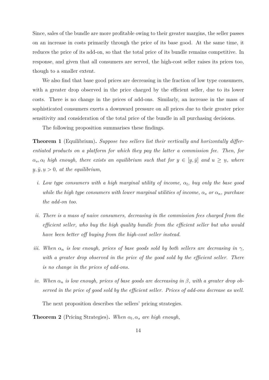Since, sales of the bundle are more profitable owing to their greater margins, the seller passes on an increase in costs primarily through the price of its base good. At the same time, it reduces the price of its add-on, so that the total price of its bundle remains competitive. In response, and given that all consumers are served, the high-cost seller raises its prices too, though to a smaller extent.

We also find that base good prices are decreasing in the fraction of low type consumers, with a greater drop observed in the price charged by the efficient seller, due to its lower costs. There is no change in the prices of add-ons. Similarly, an increase in the mass of sophisticated consumers exerts a downward pressure on all prices due to their greater price sensitivity and consideration of the total price of the bundle in all purchasing decisions.

The following proposition summarises these findings.

**Theorem 1** (Equilibrium)**.** *Suppose two sellers list their vertically and horizontally differentiated products on a platform for which they pay the latter a commission fee. Then, for*  $\alpha_s$ ,  $\alpha_l$  *high enough, there exists an equilibrium such that for*  $y \in [y, \bar{y}]$  *and*  $u \geq$ ¯ ¯ *u, where* ¯  $y, \bar{y}$ , ¯  $u > 0$ *, at the equilibrium,* 

- *i. Low type consumers with a high marginal utility of income, αl, buy only the base good while the high type consumers with lower marginal utilities of income,*  $\alpha_s$  *or*  $\alpha_n$ *, purchase the add-on too.*
- *ii. There is a mass of naive consumers, decreasing in the commission fees charged from the efficient seller, who buy the high quality bundle from the efficient seller but who would have been better off buying from the high-cost seller instead.*
- *iii.* When  $\alpha_n$  *is low enough, prices of base goods sold by both sellers are decreasing in*  $\gamma$ *, with a greater drop observed in the price of the good sold by the efficient seller. There is no change in the prices of add-ons.*
- *iv.* When  $\alpha_n$  *is low enough, prices of base goods are decreasing in*  $\beta$ *, with a greater drop observed in the price of good sold by the efficient seller. Prices of add-ons decrease as well.*

The next proposition describes the sellers' pricing strategies.

**Theorem 2** (Pricing Strategies). When  $\alpha_l, \alpha_s$  are high enough,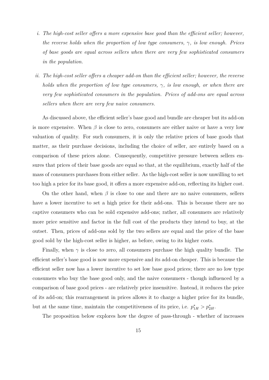- *i. The high-cost seller offers a more expensive base good than the efficient seller; however, the reverse holds when the proportion of low type consumers, γ, is low enough. Prices of base goods are equal across sellers when there are very few sophisticated consumers in the population.*
- *ii. The high-cost seller offers a cheaper add-on than the efficient seller; however, the reverse holds when the proportion of low type consumers, γ, is low enough, or when there are very few sophisticated consumers in the population. Prices of add-ons are equal across sellers when there are very few naive consumers.*

As discussed above, the efficient seller's base good and bundle are cheaper but its add-on is more expensive. When  $\beta$  is close to zero, consumers are either naive or have a very low valuation of quality. For such consumers, it is only the relative prices of base goods that matter, as their purchase decisions, including the choice of seller, are entirely based on a comparison of these prices alone. Consequently, competitive pressure between sellers ensures that prices of their base goods are equal so that, at the equilibrium, exactly half of the mass of consumers purchases from either seller. As the high-cost seller is now unwilling to set too high a price for its base good, it offers a more expensive add-on, reflecting its higher cost.

On the other hand, when  $\beta$  is close to one and there are no naive consumers, sellers have a lower incentive to set a high price for their add-ons. This is because there are no captive consumers who can be sold expensive add-ons; rather, all consumers are relatively more price sensitive and factor in the full cost of the products they intend to buy, at the outset. Then, prices of add-ons sold by the two sellers are equal and the price of the base good sold by the high-cost seller is higher, as before, owing to its higher costs.

Finally, when  $\gamma$  is close to zero, all consumers purchase the high quality bundle. The efficient seller's base good is now more expensive and its add-on cheaper. This is because the efficient seller now has a lower incentive to set low base good prices; there are no low type consumers who buy the base good only, and the naive consumers - though influenced by a comparison of base good prices - are relatively price insensitive. Instead, it reduces the price of its add-on; this rearrangement in prices allows it to charge a higher price for its bundle, but at the same time, maintain the competitiveness of its price, i.e.  $p_{1H}^* > p_{2H}^*$ .

The proposition below explores how the degree of pass-through - whether of increases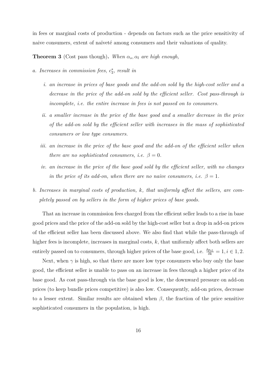in fees or marginal costs of production - depends on factors such as the price sensitivity of naive consumers, extent of naïveté among consumers and their valuations of quality.

**Theorem 3** (Cost pass though). When  $\alpha_s$ ,  $\alpha_l$  are high enough,

- *a. Increases in commission fees,*  $c_2^*$ 2 *, result in*
	- *i. an increase in prices of base goods and the add-on sold by the high-cost seller and a decrease in the price of the add-on sold by the efficient seller. Cost pass-through is incomplete, i.e. the entire increase in fees is not passed on to consumers.*
	- *ii. a smaller increase in the price of the base good and a smaller decrease in the price of the add-on sold by the efficient seller with increases in the mass of sophisticated consumers or low type consumers.*
	- *iii. an increase in the price of the base good and the add-on of the efficient seller when there are no sophisticated consumers, i.e.*  $\beta = 0$ *.*
	- *iv. an increase in the price of the base good sold by the efficient seller, with no changes in the price of its add-on, when there are no naive consumers, i.e.*  $\beta = 1$ *.*
- *b. Increases in marginal costs of production, k, that uniformly affect the sellers, are completely passed on by sellers in the form of higher prices of base goods.*

That an increase in commission fees charged from the efficient seller leads to a rise in base good prices and the price of the add-on sold by the high-cost seller but a drop in add-on prices of the efficient seller has been discussed above. We also find that while the pass-through of higher fees is incomplete, increases in marginal costs, k, that uniformly affect both sellers are entirely passed on to consumers, through higher prices of the base good, i.e.  $\frac{\delta p_{iL}}{\delta k} = 1, i \in 1, 2$ .

Next, when  $\gamma$  is high, so that there are more low type consumers who buy only the base good, the efficient seller is unable to pass on an increase in fees through a higher price of its base good. As cost pass-through via the base good is low, the downward pressure on add-on prices (to keep bundle prices competitive) is also low. Consequently, add-on prices, decrease to a lesser extent. Similar results are obtained when *β*, the fraction of the price sensitive sophisticated consumers in the population, is high.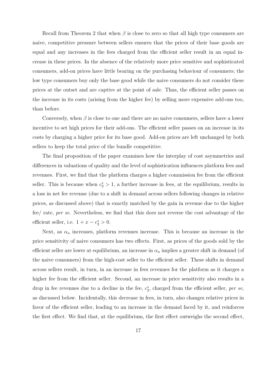Recall from Theorem 2 that when  $\beta$  is close to zero so that all high type consumers are naive, competitive pressure between sellers ensures that the prices of their base goods are equal and any increases in the fees charged from the efficient seller result in an equal increase in these prices. In the absence of the relatively more price sensitive and sophisticated consumers, add-on prices have little bearing on the purchasing behaviour of consumers; the low type consumers buy only the base good while the naive consumers do not consider these prices at the outset and are captive at the point of sale. Thus, the efficient seller passes on the increase in its costs (arising from the higher fee) by selling more expensive add-ons too, than before.

Conversely, when  $\beta$  is close to one and there are no naive consumers, sellers have a lower incentive to set high prices for their add-ons. The efficient seller passes on an increase in its costs by charging a higher price for its base good. Add-on prices are left unchanged by both sellers to keep the total price of the bundle competitive.

The final proposition of the paper examines how the interplay of cost asymmetries and differences in valuations of quality and the level of sophistication influences platform fees and revenues. First, we find that the platform charges a higher commission fee from the efficient seller. This is because when  $c_2^* > 1$ , a further increase in fees, at the equilibrium, results in a loss in net fee revenue (due to a shift in demand across sellers following changes in relative prices, as discussed above) that is exactly matched by the gain in revenue due to the higher fee/ rate, *per se*. Nevertheless, we find that this does not reverse the cost advantage of the efficient seller, i.e.  $1 + x - c_2^* > 0$ .

Next, as  $\alpha_n$  increases, platform revenues increase. This is because an increase in the price sensitivity of naive consumers has two effects. First, as prices of the goods sold by the efficient seller are lower at equilibrium, an increase in  $\alpha_n$  implies a greater shift in demand (of the naive consumers) from the high-cost seller to the efficient seller. These shifts in demand across sellers result, in turn, in an increase in fees revenues for the platform as it charges a higher fee from the efficient seller. Second, an increase in price sensitivity also results in a drop in fee revenues due to a decline in the fee,  $c_2^*$ 2 , charged from the efficient seller, *per se*, as discussed below. Incidentally, this decrease in fees, in turn, also changes relative prices in favor of the efficient seller, leading to an increase in the demand faced by it, and reinforces the first effect. We find that, at the equilibrium, the first effect outweighs the second effect,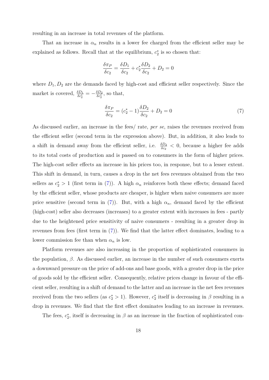resulting in an increase in total revenues of the platform.

That an increase in  $\alpha_n$  results in a lower fee charged from the efficient seller may be explained as follows. Recall that at the equilibrium,  $c_2^*$  $x_2^*$  is so chosen that:

$$
\frac{\delta \pi_P}{\delta c_2} = \frac{\delta D_1}{\delta c_2} + c_2^* \frac{\delta D_2}{\delta c_2} + D_2 = 0
$$

where  $D_1, D_2$  are the demands faced by high-cost and efficient seller respectively. Since the market is covered,  $\frac{\delta D_1}{\delta c_2^*} = -\frac{\delta D_2}{\delta c_2^*}$ , so that,

$$
\frac{\delta \pi_P}{\delta c_2} = (c_2^* - 1) \frac{\delta D_2}{\delta c_2} + D_2 = 0 \tag{7}
$$

As discussed earlier, an increase in the fees/ rate, *per se*, raises the revenues received from the efficient seller (second term in the expression above). But, in addition, it also leads to a shift in demand away from the efficient seller, i.e.  $\frac{\delta D_2}{\delta c_2} < 0$ , because a higher fee adds to its total costs of production and is passed on to consumers in the form of higher prices. The high-cost seller effects an increase in his prices too, in response, but to a lesser extent. This shift in demand, in turn, causes a drop in the net fees revenues obtained from the two sellers as  $c_2^*$  > 1 (first term in (7)). A high  $\alpha_n$  reinforces both these effects; demand faced by the efficient seller, whose products are cheaper, is higher when naive consumers are more price sensitive (second term in (7)). But, with a high  $\alpha_n$ , demand faced by the efficient (high-cost) seller also decreases (increases) to a greater extent with increases in fees - partly due to the heightened price sensitivity of naive consumers - resulting in a greater drop in revenues from fees (first term in  $(7)$ ). We find that the latter effect dominates, leading to a lower commission fee than when  $\alpha_n$  is low.

Platform revenues are also increasing in the proportion of sophisticated consumers in the population,  $\beta$ . As discussed earlier, an increase in the number of such consumers exerts a downward pressure on the price of add-ons and base goods, with a greater drop in the price of goods sold by the efficient seller. Consequently, relative prices change in favour of the efficient seller, resulting in a shift of demand to the latter and an increase in the net fees revenues received from the two sellers (as  $c_2^* > 1$ ). However,  $c_2^*$ <sup>\*</sup>/<sub>2</sub> itself is decreasing in  $\beta$  resulting in a drop in revenues. We find that the first effect dominates leading to an increase in revenues.

The fees,  $c_2^*$ <sup>\*</sup><sub>2</sub>, itself is decreasing in  $\beta$  as an increase in the fraction of sophisticated con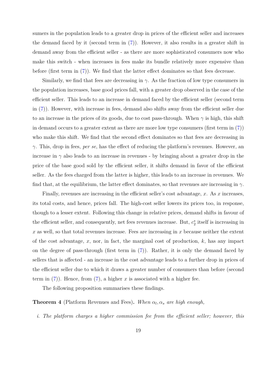sumers in the population leads to a greater drop in prices of the efficient seller and increases the demand faced by it (second term in (7)). However, it also results in a greater shift in demand away from the efficient seller - as there are more sophisticated consumers now who make this switch - when increases in fees make its bundle relatively more expensive than before (first term in (7)). We find that the latter effect dominates so that fees decrease.

Similarly, we find that fees are decreasing in  $\gamma$ . As the fraction of low type consumers in the population increases, base good prices fall, with a greater drop observed in the case of the efficient seller. This leads to an increase in demand faced by the efficient seller (second term in (7)). However, with increase in fees, demand also shifts away from the efficient seller due to an increase in the prices of its goods, due to cost pass-through. When  $\gamma$  is high, this shift in demand occurs to a greater extent as there are more low type consumers (first term in  $(7)$ ) who make this shift. We find that the second effect dominates so that fees are decreasing in *γ*. This, drop in fees, *per se*, has the effect of reducing the platform's revenues. However, an increase in  $\gamma$  also leads to an increase in revenues - by bringing about a greater drop in the price of the base good sold by the efficient seller, it shifts demand in favor of the efficient seller. As the fees charged from the latter is higher, this leads to an increase in revenues. We find that, at the equilibrium, the latter effect dominates, so that revenues are increasing in  $\gamma$ .

Finally, revenues are increasing in the efficient seller's cost advantage, *x*. As *x* increases, its total costs, and hence, prices fall. The high-cost seller lowers its prices too, in response, though to a lesser extent. Following this change in relative prices, demand shifts in favour of the efficient seller, and consequently, net fees revenues increase. But,  $c_2^*$  $x_2^*$  itself is increasing in *x* as well, so that total revenues increase. Fees are increasing in *x* because neither the extent of the cost advantage, *x*, nor, in fact, the marginal cost of production, *k*, has any impact on the degree of pass-through (first term in (7)). Rather, it is only the demand faced by sellers that is affected - an increase in the cost advantage leads to a further drop in prices of the efficient seller due to which it draws a greater number of consumers than before (second term in  $(7)$ ). Hence, from  $(7)$ , a higher *x* is associated with a higher fee.

The following proposition summarises these findings.

**Theorem 4** (Platform Revenues and Fees). *When*  $\alpha_l, \alpha_s$  *are high enough*,

*i. The platform charges a higher commission fee from the efficient seller; however, this*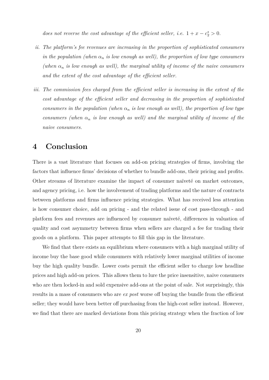*does not reverse the cost advantage of the efficient seller, i.e.*  $1 + x - c_2^* > 0$ .

- *ii. The platform's fee revenues are increasing in the proportion of sophisticated consumers in the population (when*  $\alpha_n$  *is low enough as well), the proportion of low type consumers* (when  $\alpha_n$  *is low enough as well), the marginal utility of income of the naive consumers and the extent of the cost advantage of the efficient seller.*
- *iii. The commission fees charged from the efficient seller is increasing in the extent of the cost advantage of the efficient seller and decreasing in the proportion of sophisticated consumers in the population (when*  $\alpha_n$  *is low enough as well), the proportion of low type consumers (when*  $\alpha_n$  *is low enough as well) and the marginal utility of income of the naive consumers.*

## **4 Conclusion**

There is a vast literature that focuses on add-on pricing strategies of firms, involving the factors that influence firms' decisions of whether to bundle add-ons, their pricing and profits. Other streams of literature examine the impact of consumer naïveté on market outcomes, and agency pricing, i.e. how the involvement of trading platforms and the nature of contracts between platforms and firms influence pricing strategies. What has received less attention is how consumer choice, add on pricing - and the related issue of cost pass-through - and platform fees and revenues are influenced by consumer naïveté, differences in valuation of quality and cost asymmetry between firms when sellers are charged a fee for trading their goods on a platform. This paper attempts to fill this gap in the literature.

We find that there exists an equilibrium where consumers with a high marginal utility of income buy the base good while consumers with relatively lower marginal utilities of income buy the high quality bundle. Lower costs permit the efficient seller to charge low headline prices and high add-on prices. This allows them to lure the price insensitive, naive consumers who are then locked-in and sold expensive add-ons at the point of sale. Not surprisingly, this results in a mass of consumers who are *ex post* worse off buying the bundle from the efficient seller; they would have been better off purchasing from the high-cost seller instead. However, we find that there are marked deviations from this pricing strategy when the fraction of low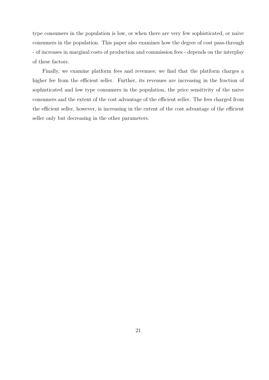type consumers in the population is low, or when there are very few sophisticated, or naive consumers in the population. This paper also examines how the degree of cost pass-through - of increases in marginal costs of production and commission fees - depends on the interplay of these factors.

Finally, we examine platform fees and revenues; we find that the platform charges a higher fee from the efficient seller. Further, its revenues are increasing in the fraction of sophisticated and low type consumers in the population, the price sensitivity of the naive consumers and the extent of the cost advantage of the efficient seller. The fees charged from the efficient seller, however, is increasing in the extent of the cost advantage of the efficient seller only but decreasing in the other parameters.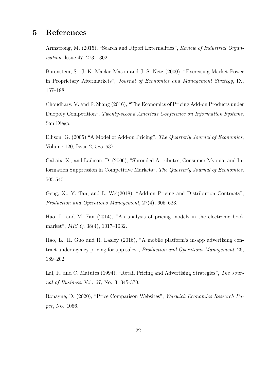### **5 References**

Armstrong, M. (2015), "Search and Ripoff Externalities", *Review of Industrial Organisation*, Issue 47, 273 - 302.

Borenstein, S., J. K. Mackie-Mason and J. S. Netz (2000), "Exercising Market Power in Proprietary Aftermarkets", *Journal of Economics and Management Strategy*, IX, 157–188.

Choudhary, V. and R.Zhang (2016), "The Economics of Pricing Add-on Products under Duopoly Competition", *Twenty-second Americas Conference on Information Systems*, San Diego.

Ellison, G. (2005),"A Model of Add-on Pricing", *The Quarterly Journal of Economics*, Volume 120, Issue 2, 585–637.

Gabaix, X., and Laibson, D. (2006), "Shrouded Attributes, Consumer Myopia, and Information Suppression in Competitive Markets", *The Quarterly Journal of Economics*, 505-540.

Geng, X., Y. Tan, and L. Wei(2018), "Add-on Pricing and Distribution Contracts", *Production and Operations Management*, 27(4), 605–623.

Hao, L. and M. Fan (2014), "An analysis of pricing models in the electronic book market", *MIS Q*, 38(4), 1017–1032.

Hao, L., H. Guo and R. Easley (2016), "A mobile platform's in-app advertising contract under agency pricing for app sales", *Production and Operations Management*, 26, 189–202.

Lal, R. and C. Matutes (1994), "Retail Pricing and Advertising Strategies", *The Journal of Business*, Vol. 67, No. 3, 345-370.

Ronayne, D. (2020), "Price Comparison Websites", *Warwick Economics Research Paper*, No. 1056.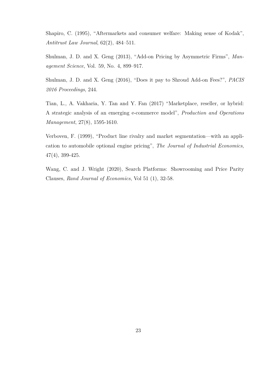Shapiro, C. (1995), "Aftermarkets and consumer welfare: Making sense of Kodak", *Antitrust Law Journal*, 62(2), 484–511.

Shulman, J. D. and X. Geng (2013), "Add-on Pricing by Asymmetric Firms", *Management Science*, Vol. 59, No. 4, 899–917.

Shulman, J. D. and X. Geng (2016), "Does it pay to Shroud Add-on Fees?", *PACIS 2016 Proceedings*, 244.

Tian, L., A. Vakharia, Y. Tan and Y. Fan (2017) "Marketplace, reseller, or hybrid: A strategic analysis of an emerging e-commerce model", *Production and Operations Management*, 27(8), 1595-1610.

Verboven, F. (1999), "Product line rivalry and market segmentation—with an application to automobile optional engine pricing", *The Journal of Industrial Economics*, 47(4), 399-425.

Wang, C. and J. Wright (2020), Search Platforms: Showrooming and Price Parity Clauses, *Rand Journal of Economics*, Vol 51 (1), 32-58.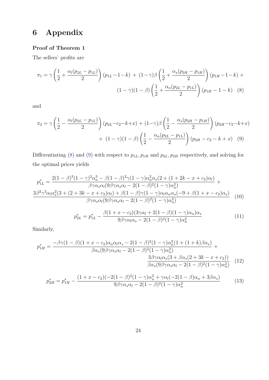## **6 Appendix**

#### **Proof of Theorem 1**

The sellers' profits are

$$
\pi_1 = \gamma \left( \frac{1}{2} + \frac{\alpha_l (p_{2L} - p_{1L})}{2} \right) (p_{1L} - 1 - k) + (1 - \gamma) \beta \left( \frac{1}{2} + \frac{\alpha_s (p_{2H} - p_{1H})}{2} \right) (p_{1H} - 1 - k) + (1 - \gamma) (1 - \beta) \left( \frac{1}{2} + \frac{\alpha_n (p_{2L} - p_{1L})}{2} \right) (p_{1H} - 1 - k) \tag{8}
$$

and

$$
\pi_2 = \gamma \left( \frac{1}{2} - \frac{\alpha_l (p_{2L} - p_{1L})}{2} \right) (p_{2L} - c_2 - k + x) + (1 - \gamma) \beta \left( \frac{1}{2} - \frac{\alpha_s (p_{2H} - p_{1H})}{2} \right) (p_{2H} - c_2 - k + x) + (1 - \gamma) (1 - \beta) \left( \frac{1}{2} - \frac{\alpha_n (p_{2L} - p_{1L})}{2} \right) (p_{2H} - c_2 - k + x) \tag{9}
$$

Differentiating (8) and (9) with respect to  $p_{1L}$ *,*  $p_{1H}$  and  $p_{2L}$ *,*  $p_{2H}$  respectively, and solving for the optimal prices yields

$$
p_{1L}^{*} = \frac{2(1-\beta)^{3}(1-\gamma)^{2}\alpha_{n}^{3} - \beta(1-\beta)^{2}\gamma(1-\gamma)\alpha_{n}^{2}\alpha_{s}(2+(1+2k-x+c_{2})\alpha_{l})}{\beta\gamma\alpha_{s}\alpha_{l}(9\beta\gamma\alpha_{s}\alpha_{l} - 2(1-\beta)^{2}(1-\gamma)\alpha_{n}^{2})} + \frac{3\beta^{2}\gamma^{2}\alpha_{l}\alpha_{s}^{2}(3+(2+3k-x+c_{2})\alpha_{l}) + \beta(1-\beta)\gamma(1-\gamma)\alpha_{l}\alpha_{n}\alpha_{s}(-9+\beta(1+x-c_{2})\alpha_{s})}{\beta\gamma\alpha_{s}\alpha_{l}(9\beta\gamma\alpha_{s}\alpha_{l} - 2(1-\beta)^{2}(1-\gamma)\alpha_{n}^{2})}
$$
(10)

$$
p_{2L}^* = p_{1L}^* - \frac{\beta (1 + x - c_2)(3\gamma \alpha_l + 2(1 - \beta)(1 - \gamma)\alpha_n)\alpha_s}{9\beta \gamma \alpha_l \alpha_s - 2(1 - \beta)^2 (1 - \gamma)\alpha_n^2}
$$
(11)

Similarly,

$$
p_{1H}^{*} = \frac{-\beta\gamma(1-\beta)(1+x-c_{2})\alpha_{n}\alpha_{l}\alpha_{s} - 2(1-\beta)^{2}(1-\gamma)\alpha_{n}^{2}(1+(1+k)\beta\alpha_{s})}{\beta\alpha_{s}(9\beta\gamma\alpha_{s}\alpha_{l} - 2(1-\beta)^{2}(1-\gamma)\alpha_{n}^{2})} + \frac{3\beta\gamma\alpha_{l}\alpha_{s}(3+\beta\alpha_{s}(2+3k-x+c_{2}))}{\beta\alpha_{s}(9\beta\gamma\alpha_{s}\alpha_{l} - 2(1-\beta)^{2}(1-\gamma)\alpha_{n}^{2})}
$$
(12)

$$
p_{2H}^* = p_{1H}^* - \frac{(1+x-c_2)(-2(1-\beta)^2(1-\gamma)\alpha_n^2 + \gamma\alpha_l(-2(1-\beta)\alpha_n + 3\beta\alpha_s)}{9\beta\gamma\alpha_s\alpha_l - 2(1-\beta)^2(1-\gamma)\alpha_n^2}
$$
(13)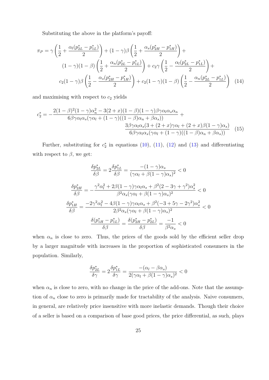Substituting the above in the platform's payoff:

$$
\pi_P = \gamma \left( \frac{1}{2} + \frac{\alpha_l (p_{2L}^* - p_{1L}^*)}{2} \right) + (1 - \gamma) \beta \left( \frac{1}{2} + \frac{\alpha_s (p_{2H}^* - p_{1H}^*)}{2} \right) +
$$
  

$$
(1 - \gamma)(1 - \beta) \left( \frac{1}{2} + \frac{\alpha_n (p_{2L}^* - p_{1L}^*)}{2} \right) + c_2 \gamma \left( \frac{1}{2} - \frac{\alpha_l (p_{2L}^* - p_{1L}^*)}{2} \right) +
$$
  

$$
c_2 (1 - \gamma) \beta \left( \frac{1}{2} - \frac{\alpha_s (p_{2H}^* - p_{1H}^*)}{2} \right) + c_2 (1 - \gamma)(1 - \beta) \left( \frac{1}{2} - \frac{\alpha_n (p_{2L}^* - p_{1L}^*)}{2} \right) \tag{14}
$$

and maximising with respect to  $c_2$  yields

$$
c_2^* = -\frac{2(1-\beta)^2(1-\gamma)\alpha_n^2 - 3(2+x)(1-\beta)(1-\gamma)\beta\gamma\alpha_l\alpha_s\alpha_n}{6\beta\gamma\alpha_l\alpha_s(\gamma\alpha_l + (1-\gamma)((1-\beta)\alpha_n + \beta\alpha_s))} + \frac{3\beta\gamma\alpha_l\alpha_s(3+(2+x)\gamma\alpha_l + (2+x)\beta(1-\gamma)\alpha_s)}{6\beta\gamma\alpha_l\alpha_s(\gamma\alpha_l + (1-\gamma)((1-\beta)\alpha_n + \beta\alpha_s))}
$$
(15)

Further, substituting for  $c_2^*$  $_2^*$  in equations (10), (11), (12) and (13) and differentiating with respect to  $\beta$ , we get:

$$
\frac{\delta p_{2L}^*}{\delta \beta} = 2 \frac{\delta p_{1L}^*}{\delta \beta} = \frac{-(1-\gamma)\alpha_s}{(\gamma \alpha_l + \beta(1-\gamma)\alpha_s)^2} < 0
$$

$$
\frac{\delta p_{2H}^*}{\delta \beta} = -\frac{\gamma^2 \alpha_l^2 + 2\beta(1-\gamma)\gamma \alpha_l \alpha_s + \beta^2 (2 - 3\gamma + \gamma^2) \alpha_s^2}{\beta^2 \alpha_s (\gamma \alpha_l + \beta(1-\gamma)\alpha_s)^2} < 0
$$

$$
\frac{\delta p_{1H}^*}{\delta \beta} = \frac{-2\gamma^2 \alpha_l^2 - 4\beta(1-\gamma)\gamma \alpha_l \alpha_s + \beta^2(-3 + 5\gamma - 2\gamma^2) \alpha_s^2}{2\beta^2 \alpha_s (\gamma \alpha_l + \beta(1-\gamma)\alpha_s)^2} < 0
$$

$$
\frac{\delta(p_{1H}^* - p_{1L}^*)}{\delta \beta} = \frac{\delta(p_{2H}^* - p_{2L}^*)}{\delta \beta} = \frac{-1}{\beta^2 \alpha_s} < 0
$$

when  $\alpha_n$  is close to zero. Thus, the prices of the goods sold by the efficient seller drop by a larger magnitude with increases in the proportion of sophisticated consumers in the population. Similarly,

$$
\frac{\delta p_{2L}^*}{\delta \gamma} = 2 \frac{\delta p_{1L}^*}{\delta \gamma} = \frac{-(\alpha_l - \beta \alpha_s)}{2(\gamma \alpha_l + \beta(1 - \gamma)\alpha_s)^2} < 0
$$

when  $\alpha_n$  is close to zero, with no change in the price of the add-ons. Note that the assumption of  $\alpha_n$  close to zero is primarily made for tractability of the analysis. Naive consumers, in general, are relatively price insensitive with more inelastic demands. Though their choice of a seller is based on a comparison of base good prices, the price differential, as such, plays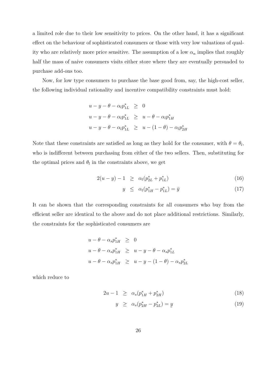a limited role due to their low sensitivity to prices. On the other hand, it has a significant effect on the behaviour of sophisticated consumers or those with very low valuations of quality who are relatively more price sensitive. The assumption of a low  $\alpha_n$  implies that roughly half the mass of naive consumers visits either store where they are eventually persuaded to purchase add-ons too.

Now, for low type consumers to purchase the base good from, say, the high-cost seller, the following individual rationality and incentive compatibility constraints must hold:

$$
u - y - \theta - \alpha_l p_{1L}^* \ge 0
$$
  

$$
u - y - \theta - \alpha_l p_{1L}^* \ge u - \theta - \alpha_l p_{1H}^*
$$
  

$$
u - y - \theta - \alpha_l p_{1L}^* \ge u - (1 - \theta) - \alpha_l p_{2H}^*
$$

Note that these constraints are satisfied as long as they hold for the consumer, with  $\theta = \theta_l$ , who is indifferent between purchasing from either of the two sellers. Then, substituting for the optimal prices and  $\theta_l$  in the constraints above, we get

$$
2(u - y) - 1 \ge \alpha_l (p_{2L}^* + p_{1L}^*)
$$
\n(16)

$$
y \le \alpha_l (p_{1H}^* - p_{1L}^*) = \bar{y} \tag{17}
$$

It can be shown that the corresponding constraints for all consumers who buy from the efficient seller are identical to the above and do not place additional restrictions. Similarly, the constraints for the sophisticated consumers are

$$
u - \theta - \alpha_s p_{1H}^* \ge 0
$$
  

$$
u - \theta - \alpha_s p_{1H}^* \ge u - y - \theta - \alpha_s p_{1L}^*
$$
  

$$
u - \theta - \alpha_s p_{1H}^* \ge u - y - (1 - \theta) - \alpha_s p_{2L}^*
$$

which reduce to

$$
2u - 1 \ge \alpha_s (p_{1H}^* + p_{2H}^*) \tag{18}
$$

$$
y \ge \alpha_s (p_{2H}^* - p_{2L}^*) = y \tag{19}
$$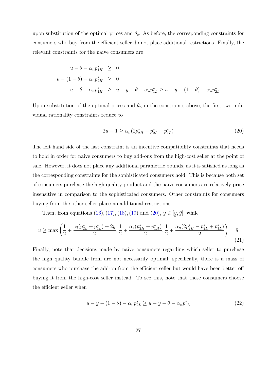upon substitution of the optimal prices and  $\theta_s$ . As before, the corresponding constraints for consumers who buy from the efficient seller do not place additional restrictions. Finally, the relevant constraints for the naive consumers are

$$
u - \theta - \alpha_n p_{1H}^* \ge 0
$$
  
 
$$
u - (1 - \theta) - \alpha_n p_{2H}^* \ge 0
$$
  
 
$$
u - \theta - \alpha_n p_{1H}^* \ge u - y - \theta - \alpha_n p_{1L}^* \ge u - y - (1 - \theta) - \alpha_n p_{2L}^*
$$

Upon substitution of the optimal prices and  $\theta_n$  in the constraints above, the first two individual rationality constraints reduce to

$$
2u - 1 \ge \alpha_n (2p_{2H}^* - p_{2L}^* + p_{1L}^*)
$$
\n(20)

The left hand side of the last constraint is an incentive compatibility constraints that needs to hold in order for naive consumers to buy add-ons from the high-cost seller at the point of sale. However, it does not place any additional parametric bounds, as it is satisfied as long as the corresponding constraints for the sophisticated consumers hold. This is because both set of consumers purchase the high quality product and the naive consumers are relatively price insensitive in comparison to the sophisticated consumers. Other constraints for consumers buying from the other seller place no additional restrictions.

Then, from equations  $(16)$ ,  $(17)$ ,  $(18)$ ,  $(19)$  and  $(20)$ ,  $y \in$ ¯  $[y,\bar{y}],$  while

$$
u \ge \max\left(\frac{1}{2} + \frac{\alpha_l(p_{2L}^* + p_{1L}^*) + 2y}{2}, \frac{1}{2} + \frac{\alpha_s(p_{2H}^* + p_{1H}^*)}{2}, \frac{1}{2} + \frac{\alpha_n(2p_{2H}^* - p_{2L}^* + p_{1L}^*)}{2}\right) = \bar{u}
$$
\n(21)

Finally, note that decisions made by naive consumers regarding which seller to purchase the high quality bundle from are not necessarily optimal; specifically, there is a mass of consumers who purchase the add-on from the efficient seller but would have been better off buying it from the high-cost seller instead. To see this, note that these consumers choose the efficient seller when

$$
u - y - (1 - \theta) - \alpha_n p_{2L}^* \ge u - y - \theta - \alpha_n p_{1L}^* \tag{22}
$$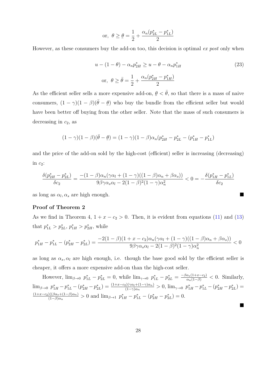$$
\text{or, } \theta \ge \theta = \frac{1}{2} + \frac{\alpha_n (p_{2L}^* - p_{1L}^*)}{2}
$$

However, as these consumers buy the add-on too, this decision is optimal *ex post* only when

$$
u - (1 - \theta) - \alpha_n p_{2H}^* \ge u - \theta - \alpha_n p_{1H}^*
$$
  
or,  $\theta \ge \bar{\theta} = \frac{1}{2} + \frac{\alpha_n (p_{2H}^* - p_{1H}^*)}{2}$  (23)

As the efficient seller sells a more expensive add-on,  $\theta < \bar{\theta}$ , so that there is a mass of naive ¯ consumers,  $(1 - \gamma)(1 - \beta)(\bar{\theta} -$ ¯ *θ*) who buy the bundle from the efficient seller but would have been better off buying from the other seller. Note that the mass of such consumers is decreasing in *c*2, as

$$
(1 - \gamma)(1 - \beta)(\bar{\theta} - \underline{\theta}) = (1 - \gamma)(1 - \beta)\alpha_n(p_{2H}^* - p_{2L}^* - (p_{1H}^* - p_{1L}^*)
$$

and the price of the add-on sold by the high-cost (efficient) seller is increasing (decreasing) in  $c_2$ :

$$
\frac{\delta(p_{2H}^*-p_{2L}^*)}{\delta c_2}=\frac{-(1-\beta)\alpha_n(\gamma\alpha_l+(1-\gamma)((1-\beta)\alpha_n+\beta\alpha_s))}{9\beta\gamma\alpha_s\alpha_l-2(1-\beta)^2(1-\gamma)\alpha_n^2}<0=-\frac{\delta(p_{1H}^*-p_{1L}^*)}{\delta c_2}
$$

as long as  $\alpha_l, \alpha_s$  are high enough.

#### **Proof of Theorem 2**

As we find in Theorem 4,  $1 + x - c_2 > 0$ . Then, it is evident from equations (11) and (13) that  $p_{1L}^* > p_{2L}^*$ ,  $p_{1H}^* > p_{2H}^*$ , while

$$
p_{1H}^* - p_{1L}^* - (p_{2H}^* - p_{2L}^*) = \frac{-2(1-\beta)(1+x-c_2)\alpha_n(\gamma\alpha_l + (1-\gamma)((1-\beta)\alpha_n + \beta\alpha_s))}{9\beta\gamma\alpha_s\alpha_l - 2(1-\beta)^2(1-\gamma)\alpha_n^2} < 0
$$

as long as  $\alpha_s, \alpha_l$  are high enough, i.e. though the base good sold by the efficient seller is cheaper, it offers a more expensive add-on than the high-cost seller.

However,  $\lim_{\beta \to 0} p_{1L}^* - p_{2L}^* = 0$ , while  $\lim_{\gamma \to 0} p_{1L}^* - p_{2L}^* = \frac{-\beta \alpha_s (1 + x - c_2)}{\alpha_n (1 - \beta)} < 0$ . Similarly,  $\lim_{\beta \to 0} p_{1H}^* - p_{1L}^* - (p_{2H}^* - p_2^*)$  $\binom{2}{2L} = \frac{(1+x-c_2)(\gamma\alpha_l + (1-\gamma)\alpha_n)}{(1-\gamma)\alpha_n} > 0$ ,  $\lim_{\gamma \to 0} p_{1H}^* - p_{1L}^* - (p_{2H}^* - p_{2H}^*)$  $\binom{*}{2L} =$  $(1+x-c_2)((\beta\alpha_s+(1-\beta)\alpha_n)$  $\frac{\partial ((\beta \alpha_s + (1-\beta)\alpha_n)}{(1-\beta)\alpha_n} > 0$  and  $\lim_{\beta \to 1} p_{1H}^* - p_{1L}^* - (p_{2H}^* - p_{2H}^*)$  $j_{2L}^*$ ) = 0.

 $\blacksquare$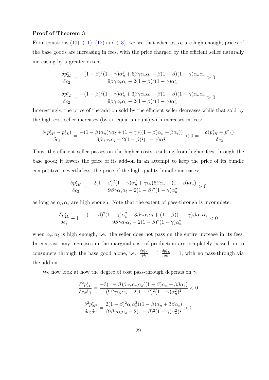#### **Proof of Theorem 3**

From equations (10), (11), (12) and (13), we see that when  $\alpha_s$ ,  $\alpha_l$  are high enough, prices of the base goods are increasing in fees, with the price charged by the efficient seller naturally increasing by a greater extent:

$$
\frac{\delta p_{2L}^*}{\delta c_2} = \frac{-(1-\beta)^2 (1-\gamma)\alpha_n^2 + 6\beta\gamma\alpha_s\alpha_l + \beta(1-\beta)(1-\gamma)\alpha_n\alpha_s}{9\beta\gamma\alpha_s\alpha_l - 2(1-\beta)^2(1-\gamma)\alpha_n^2} > 0
$$

$$
\frac{\delta p_{1L}^*}{\delta c_2} = \frac{-(1-\beta)^2 (1-\gamma)\alpha_n^2 + 3\beta\gamma\alpha_s\alpha_l - \beta(1-\beta)(1-\gamma)\alpha_n\alpha_s}{9\beta\gamma\alpha_s\alpha_l - 2(1-\beta)^2(1-\gamma)\alpha_n^2} > 0
$$

Interestingly, the price of the add-on sold by the efficient seller decreases while that sold by the high-cost seller increases (by an equal amount) with increases in fees:

$$
\frac{\delta(p_{2H}^*-p_{2L}^*)}{\delta c_2}=\frac{-(1-\beta)\alpha_n(\gamma\alpha_l+(1-\gamma)((1-\beta)\alpha_n+\beta\alpha_s))}{9\beta\gamma\alpha_s\alpha_l-2(1-\beta)^2(1-\gamma)\alpha_n^2}<0=-\frac{\delta(p_{1H}^*-p_{1L}^*)}{\delta c_2}
$$

Thus, the efficient seller passes on the higher costs resulting from higher fees through the base good; it lowers the price of its add-on in an attempt to keep the price of its bundle competitive; nevertheless, the price of the high quality bundle increases:

$$
\frac{\delta p_{2H}^*}{\delta c_2} = \frac{-2(1-\beta)^2(1-\gamma)\alpha_n^2 + \gamma\alpha_l(6\beta\alpha_s - (1-\beta)\alpha_n)}{9\beta\gamma\alpha_s\alpha_l - 2(1-\beta)^2(1-\gamma)\alpha_n^2} > 0
$$

as long as  $\alpha_l, \alpha_s$  are high enough. Note that the extent of pass-through is incomplete:

$$
\frac{\delta p_{2L}^*}{\delta c_2}-1=\frac{(1-\beta)^2(1-\gamma)\alpha_n^2-3\beta\gamma\alpha_s\alpha_l+(1-\beta)(1-\gamma)\beta\alpha_n\alpha_s}{9\beta\gamma\alpha_l\alpha_s-2(1-\beta)^2(1-\gamma)\alpha_n^2}<0
$$

when  $\alpha_s, \alpha_l$  is high enough, i.e. the seller does not pass on the entire increase in its fees. In contrast, any increases in the marginal cost of production are completely passed on to consumers through the base good alone, i.e.  $\frac{\delta p_{2L}^*}{\delta k} = 1$ ,  $\frac{\delta p_{1L}^*}{\delta k} = 1$ , with no pass-through via the add-on.

We now look at how the degree of cost pass-through depends on *γ*.

$$
\frac{\delta^2 p_{2L}^*}{\delta c_2 \delta \gamma} = \frac{-3(1-\beta)\beta \alpha_s \alpha_n \alpha_s ((1-\beta)\alpha_n + 3\beta \alpha_s)}{(9\beta \gamma \alpha_l \alpha_s - 2(1-\beta)^2 (1-\gamma)\alpha_n^2)^2} < 0
$$

$$
\frac{\delta^2 p_{2H}^*}{\delta c_2 \delta \gamma} = \frac{2(1-\beta)^2 \alpha_l \alpha_n^2 ((1-\beta)\alpha_n + 3\beta \alpha_s)}{(9\beta \gamma \alpha_l \alpha_s - 2(1-\beta)^2 (1-\gamma)\alpha_n^2)^2} > 0
$$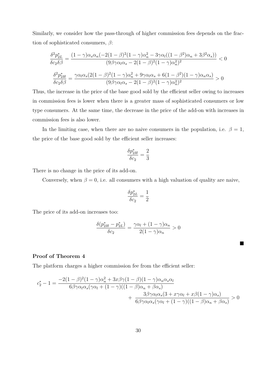Similarly, we consider how the pass-through of higher commission fees depends on the fraction of sophisticated consumers, *β*:

$$
\frac{\delta^2 p_{2L}^*}{\delta c_2 \delta \beta} = \frac{(1 - \gamma)\alpha_s \alpha_n (-2(1 - \beta)^2 (1 - \gamma)\alpha_n^2 - 3\gamma \alpha_l ((1 - \beta^2)\alpha_n + 3\beta^2 \alpha_s))}{(9\beta \gamma \alpha_l \alpha_s - 2(1 - \beta)^2 (1 - \gamma)\alpha_n^2)^2} < 0
$$

$$
\frac{\delta^2 p_{2H}^*}{\delta c_2 \delta \beta} = \frac{\gamma \alpha_l \alpha_s (2(1 - \beta)^2 (1 - \gamma)\alpha_n^2 + 9\gamma \alpha_l \alpha_s + 6(1 - \beta^2)(1 - \gamma)\alpha_n \alpha_s)}{(9\beta \gamma \alpha_l \alpha_s - 2(1 - \beta)^2 (1 - \gamma)\alpha_n^2)^2} > 0
$$

Thus, the increase in the price of the base good sold by the efficient seller owing to increases in commission fees is lower when there is a greater mass of sophisticated consumers or low type consumers. At the same time, the decrease in the price of the add-on with increases in commission fees is also lower.

In the limiting case, when there are no naive consumers in the population, i.e.  $\beta = 1$ , the price of the base good sold by the efficient seller increases:

$$
\frac{\delta p^*_{2H}}{\delta c_2}=\frac{2}{3}
$$

There is no change in the price of its add-on.

Conversely, when  $\beta = 0$ , i.e. all consumers with a high valuation of quality are naive,

$$
\frac{\delta p_{2L}^*}{\delta c_2}=\frac{1}{2}
$$

The price of its add-on increases too:

$$
\frac{\delta(p_{2H}^*-p_{2L}^*)}{\delta c_2} = \frac{\gamma\alpha_l + (1-\gamma)\alpha_n}{2(1-\gamma)\alpha_n} > 0
$$

 $\blacksquare$ 

#### **Proof of Theorem 4**

The platform charges a higher commission fee from the efficient seller:

$$
c_2^* - 1 = \frac{-2(1-\beta)^2(1-\gamma)\alpha_n^2 + 3x\beta\gamma(1-\beta)(1-\gamma)\alpha_n\alpha_s\alpha_l}{6\beta\gamma\alpha_l\alpha_s(\gamma\alpha_l + (1-\gamma)((1-\beta)\alpha_n + \beta\alpha_s))} + \frac{3\beta\gamma\alpha_l\alpha_s(3 + x\gamma\alpha_l + x\beta(1-\gamma)\alpha_s)}{6\beta\gamma\alpha_l\alpha_s(\gamma\alpha_l + (1-\gamma)((1-\beta)\alpha_n + \beta\alpha_s))} > 0
$$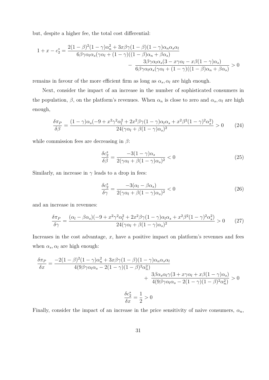but, despite a higher fee, the total cost differential:

$$
1 + x - c_2^* = \frac{2(1 - \beta)^2 (1 - \gamma)\alpha_n^2 + 3x\beta\gamma(1 - \beta)(1 - \gamma)\alpha_n\alpha_s\alpha_l}{6\beta\gamma\alpha_l\alpha_s(\gamma\alpha_l + (1 - \gamma)((1 - \beta)\alpha_n + \beta\alpha_s))} - \frac{3\beta\gamma\alpha_l\alpha_s(3 - x\gamma\alpha_l - x\beta(1 - \gamma)\alpha_s)}{6\beta\gamma\alpha_l\alpha_s(\gamma\alpha_l + (1 - \gamma)((1 - \beta)\alpha_n + \beta\alpha_s))} > 0
$$

remains in favour of the more efficient firm as long as  $\alpha_s$ ,  $\alpha_l$  are high enough.

Next, consider the impact of an increase in the number of sophisticated consumers in the population,  $\beta$ , on the platform's revenues. When  $\alpha_n$  is close to zero and  $\alpha_s$ ,  $\alpha_l$  are high enough,

$$
\frac{\delta \pi_P}{\delta \beta} = \frac{(1 - \gamma)\alpha_s(-9 + x^2\gamma^2\alpha_l^2 + 2x^2\beta\gamma(1 - \gamma)\alpha_l\alpha_s + x^2\beta^2(1 - \gamma)^2\alpha_s^2)}{24(\gamma\alpha_l + \beta(1 - \gamma)\alpha_s)^2} > 0
$$
 (24)

while commission fees are decreasing in *β*:

$$
\frac{\delta c_2^*}{\delta \beta} = \frac{-3(1-\gamma)\alpha_s}{2(\gamma \alpha_l + \beta(1-\gamma)\alpha_s)^2} < 0 \tag{25}
$$

Similarly, an increase in  $\gamma$  leads to a drop in fees:

$$
\frac{\delta c_2^*}{\delta \gamma} = \frac{-3(\alpha_l - \beta \alpha_s)}{2(\gamma \alpha_l + \beta (1 - \gamma) \alpha_s)^2} < 0 \tag{26}
$$

and an increase in revenues:

$$
\frac{\delta \pi_P}{\delta \gamma} = \frac{(\alpha_l - \beta \alpha_s)(-9 + x^2 \gamma^2 \alpha_l^2 + 2x^2 \beta \gamma (1 - \gamma) \alpha_l \alpha_s + x^2 \beta^2 (1 - \gamma)^2 \alpha_s^2)}{24(\gamma \alpha_l + \beta (1 - \gamma) \alpha_s)^2} > 0 \tag{27}
$$

Increases in the cost advantage, *x*, have a positive impact on platform's revenues and fees when  $\alpha_s, \alpha_l$  are high enough:

$$
\frac{\delta \pi_P}{\delta x} = \frac{-2(1-\beta)^2 (1-\gamma)\alpha_n^2 + 3x\beta\gamma(1-\beta)(1-\gamma)\alpha_n \alpha_s \alpha_l}{4(9\beta\gamma\alpha_l\alpha_s - 2(1-\gamma)(1-\beta)^2\alpha_n^2)} + \frac{3\beta\alpha_s\alpha_l\gamma(3+x\gamma\alpha_l+x\beta(1-\gamma)\alpha_s)}{4(9\beta\gamma\alpha_l\alpha_s - 2(1-\gamma)(1-\beta)^2\alpha_n^2)} > 0
$$

$$
\frac{\delta c_2^*}{\delta x} = \frac{1}{2} > 0
$$

Finally, consider the impact of an increase in the price sensitivity of naive consumers,  $\alpha_n$ ,